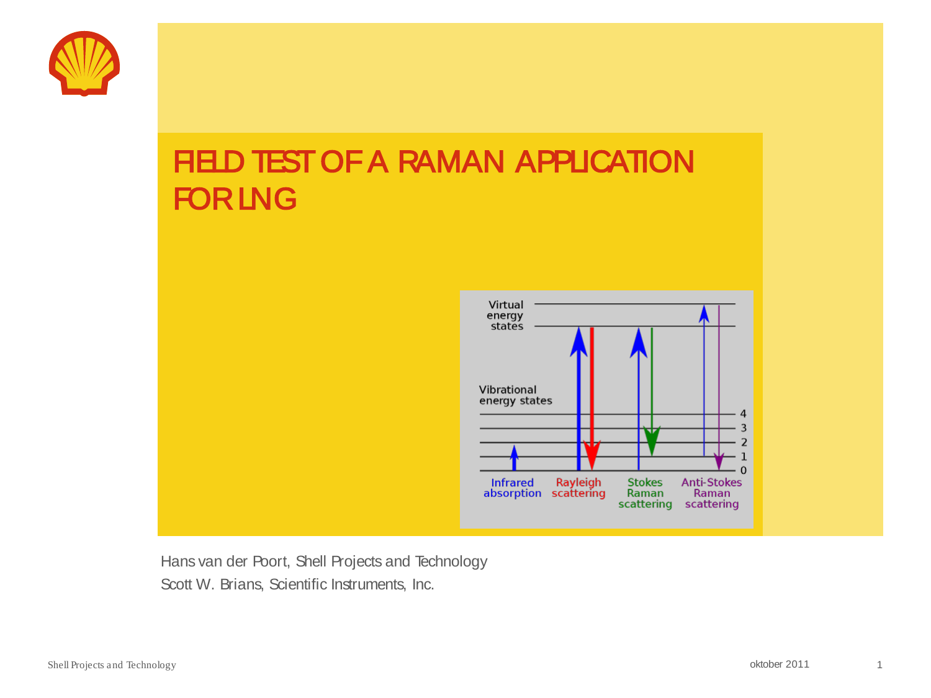

# **FIELD TEST OF A RAMAN APPLICATION** FOR LNG



Hans van der Poort, Shell Projects and Technology Scott W. Brians, Scientific Instruments, Inc.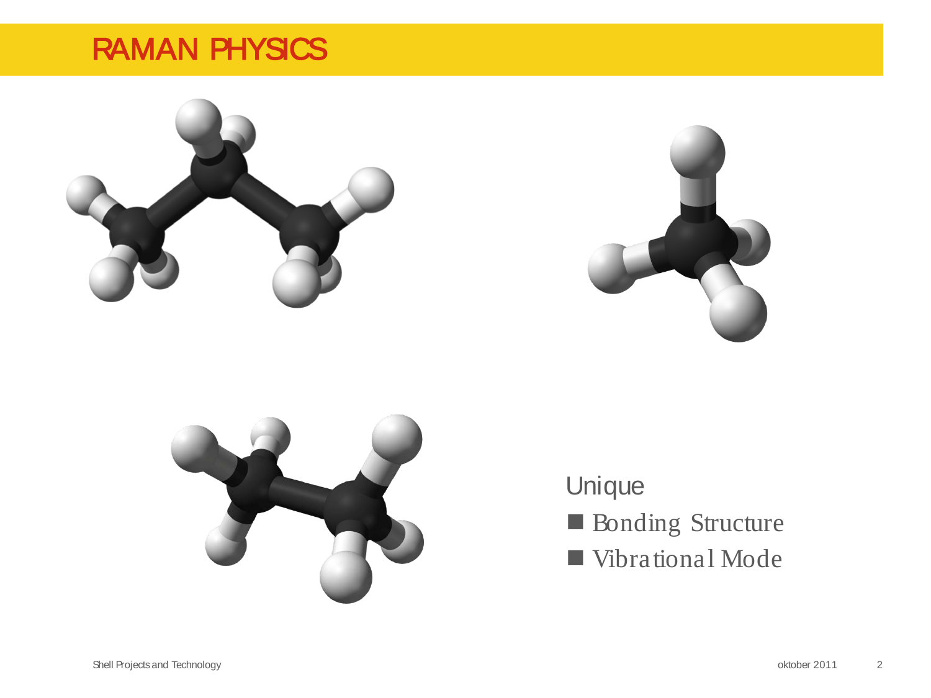## RAMAN PHYSICS







Unique **Bonding Structure** Vibrational Mode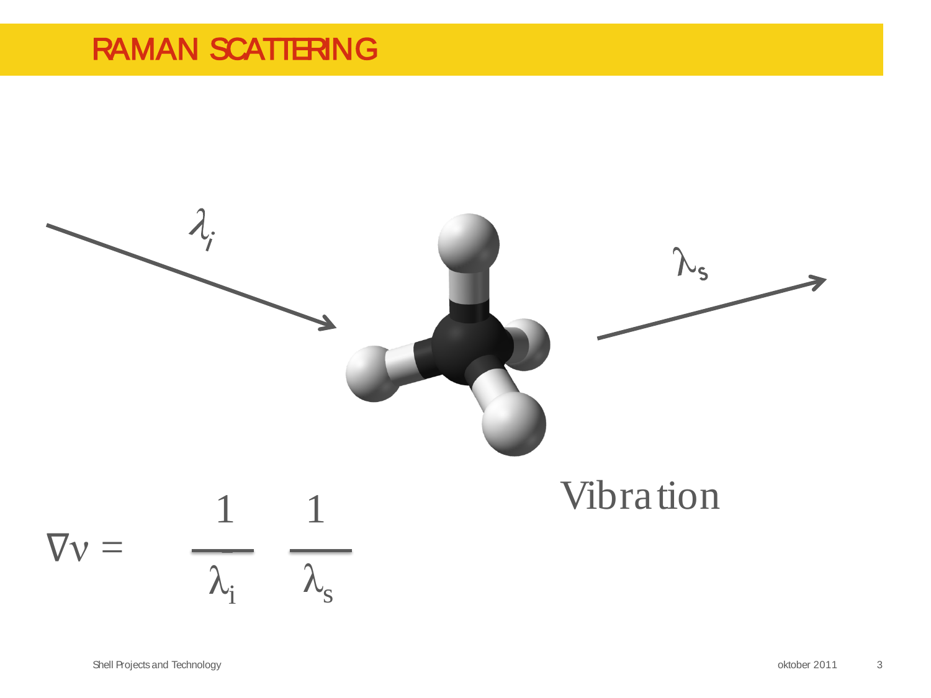# RAMAN SCATTERING

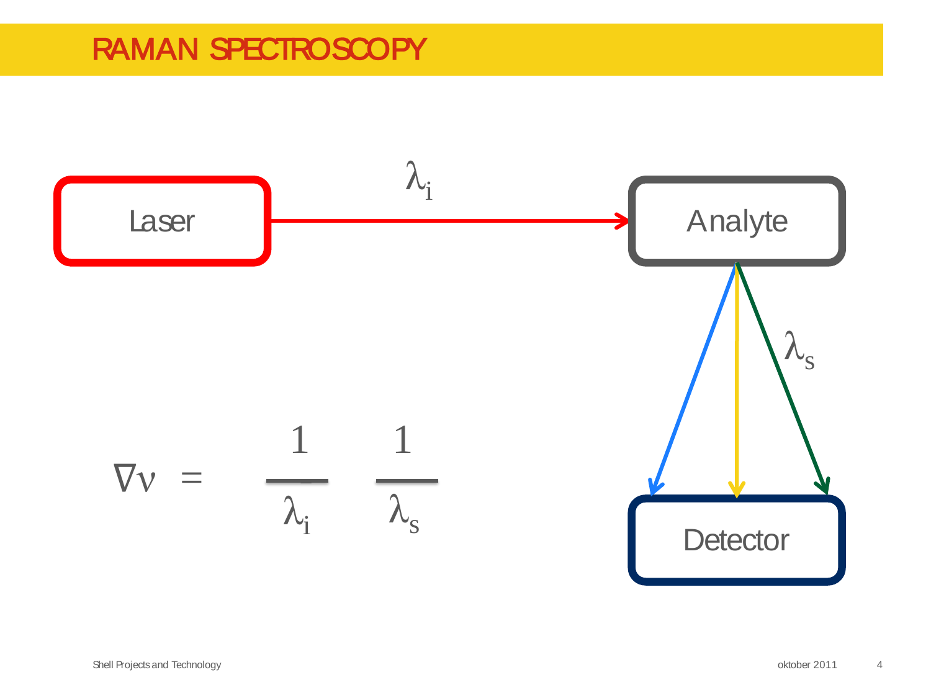# RAMAN SPECTROSCOPY

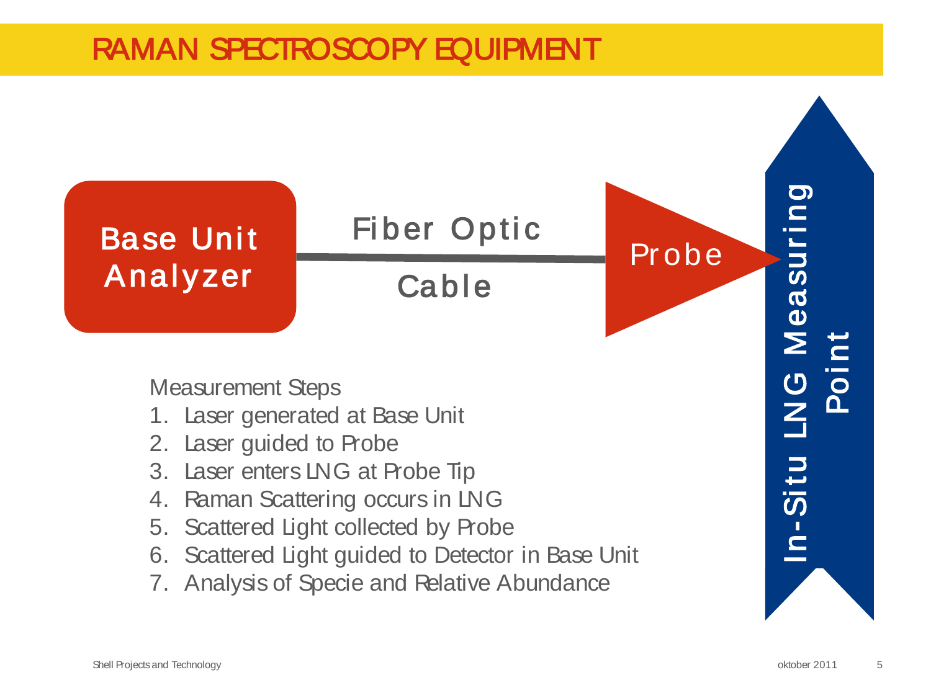# RAMAN SPECTROSCOPY EQUIPMENT

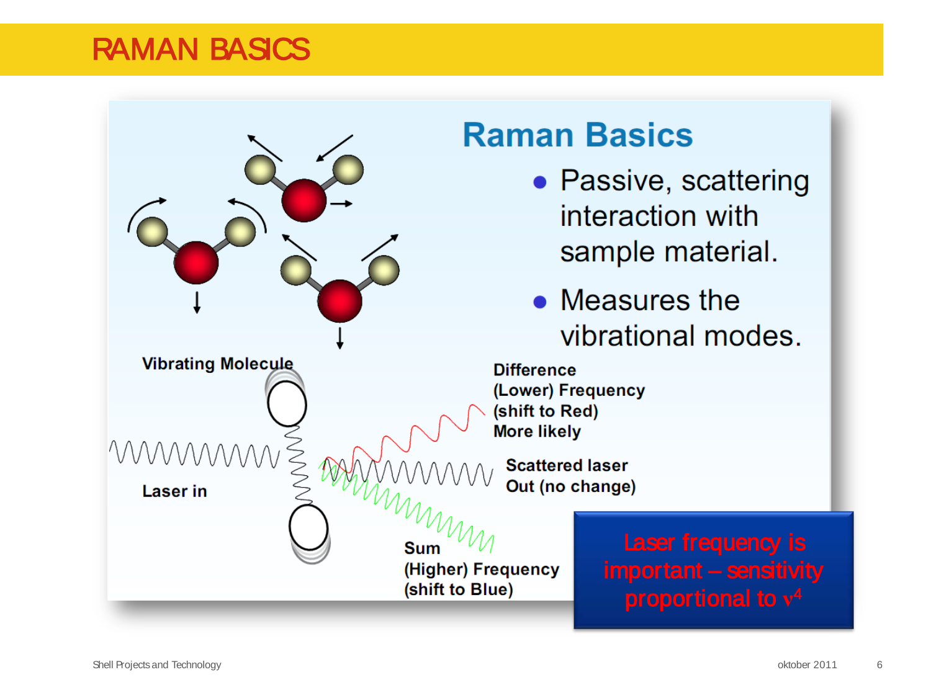#### RAMAN BASICS

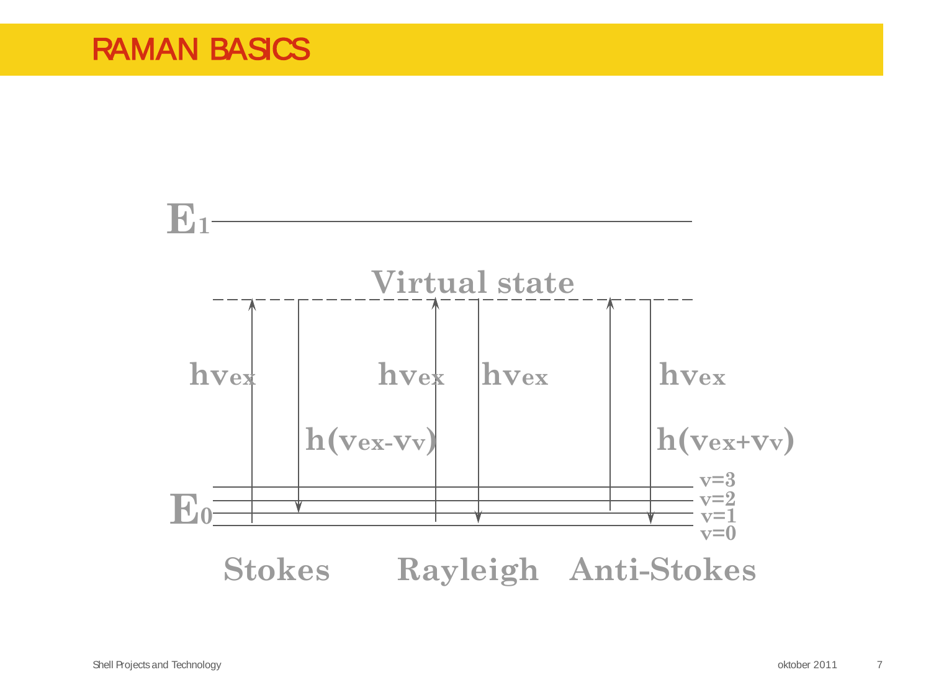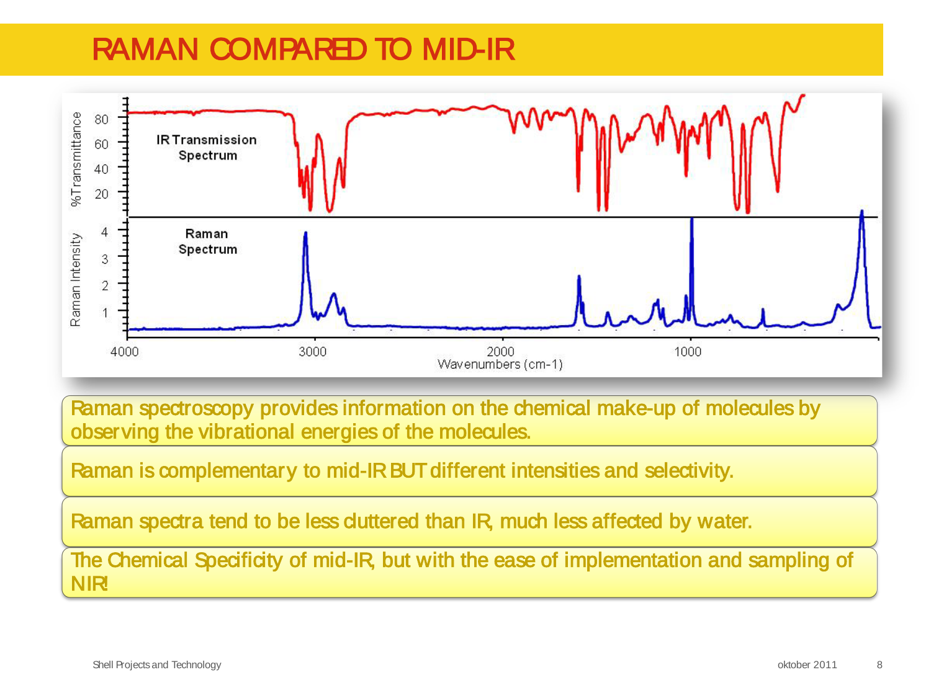# RAMAN COMPARED TO MID-IR



Raman spectroscopy provides information on the chemical make-up of molecules by observing the vibrational energies of the molecules.

Raman is complementary to mid-IR BUT different intensities and selectivity.

Raman spectra tend to be less duttered than IR, much less affected by water.

The Chemical Specificity of mid-IR, but with the ease of implementation and sampling of **NIR!**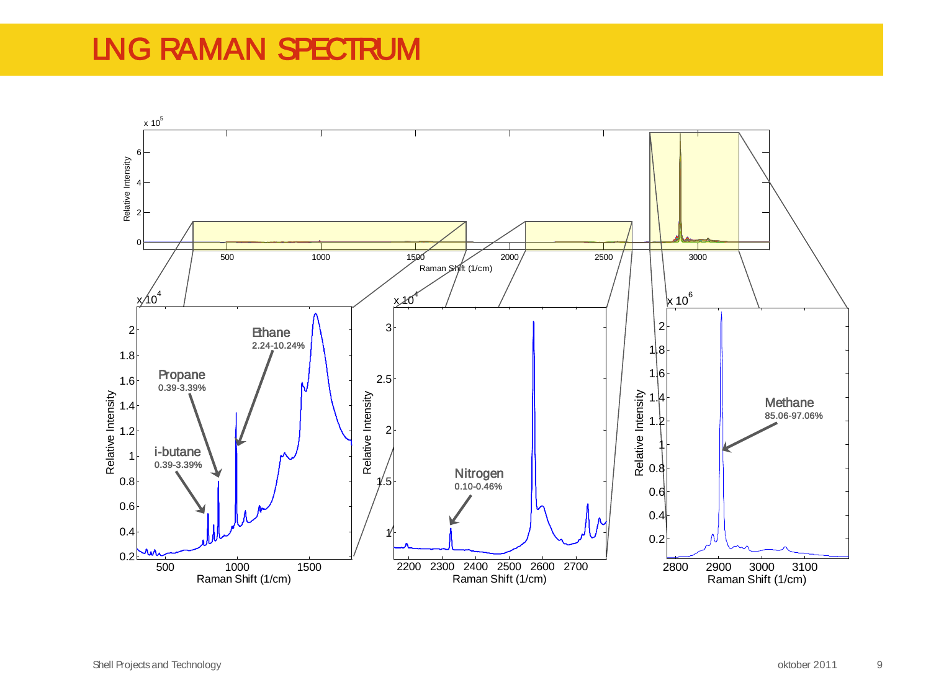# LNG RAMAN SPECTRUM

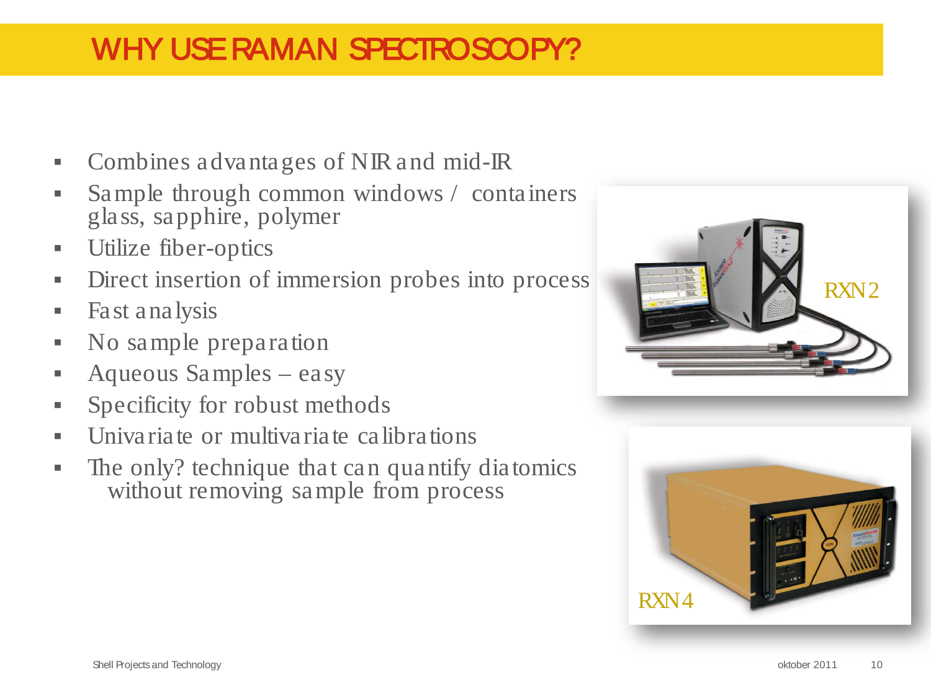# WHY USE RAMAN SPECTROSCOPY?

- Combines advantages of NIR and mid-IR
- Sample through common windows / containers glass, sapphire, polymer
- Utilize fiber-optics
- Direct insertion of immersion probes into process
- **Fast analysis**
- No sample preparation
- Aqueous Samples easy
- **Specificity for robust methods**
- Univariate or multivariate calibrations
- The only? technique that can quantify diatomics without removing sample from process



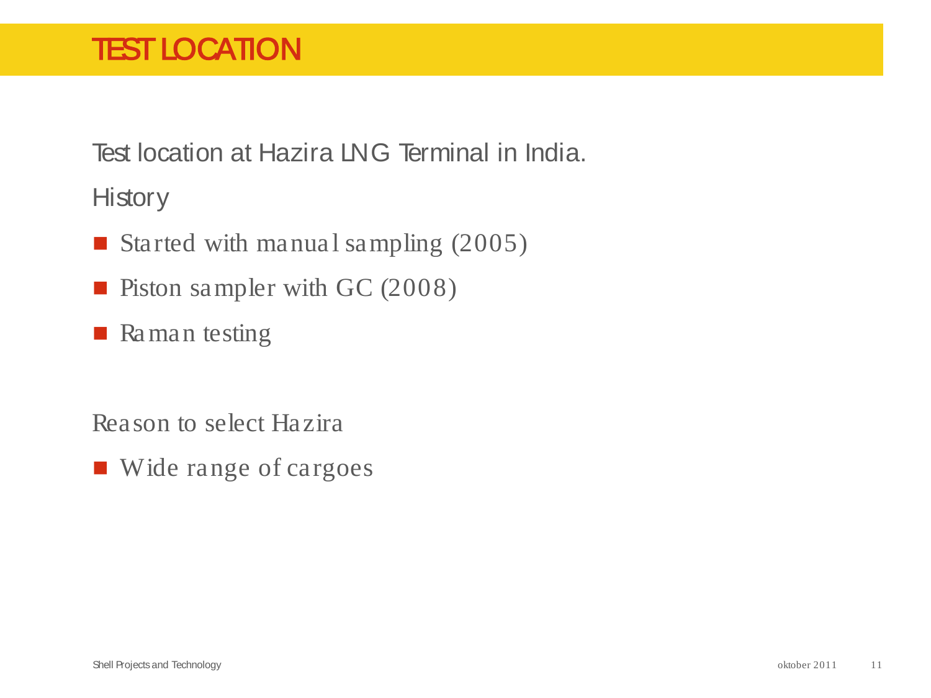# TEST LOCATION

Test location at Hazira LNG Terminal in India.

**History** 

- Started with manual sampling  $(2005)$
- **Piston sampler with GC (2008)**
- **Raman** testing

Reason to select Hazira

■ Wide range of cargoes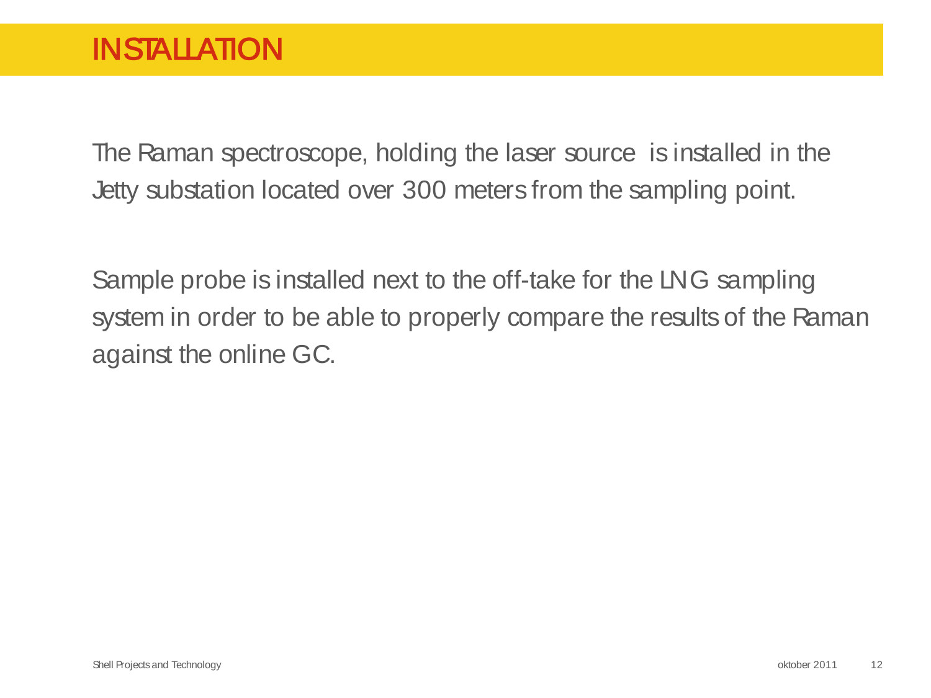The Raman spectroscope, holding the laser source is installed in the Jetty substation located over 300 meters from the sampling point.

Sample probe is installed next to the off-take for the LNG sampling system in order to be able to properly compare the results of the Raman against the online GC.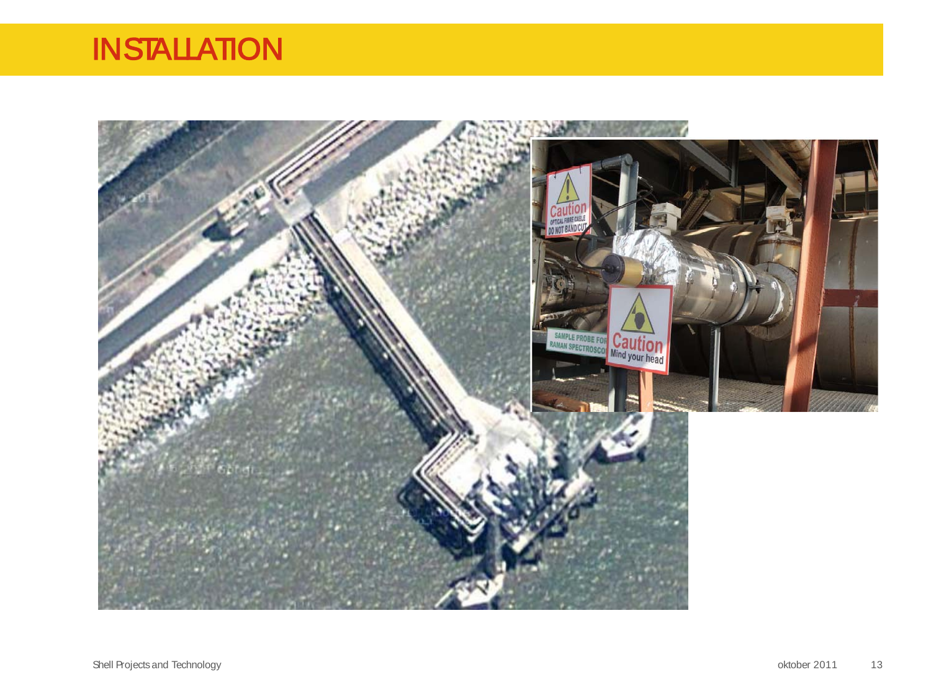# **INSTALLATION**

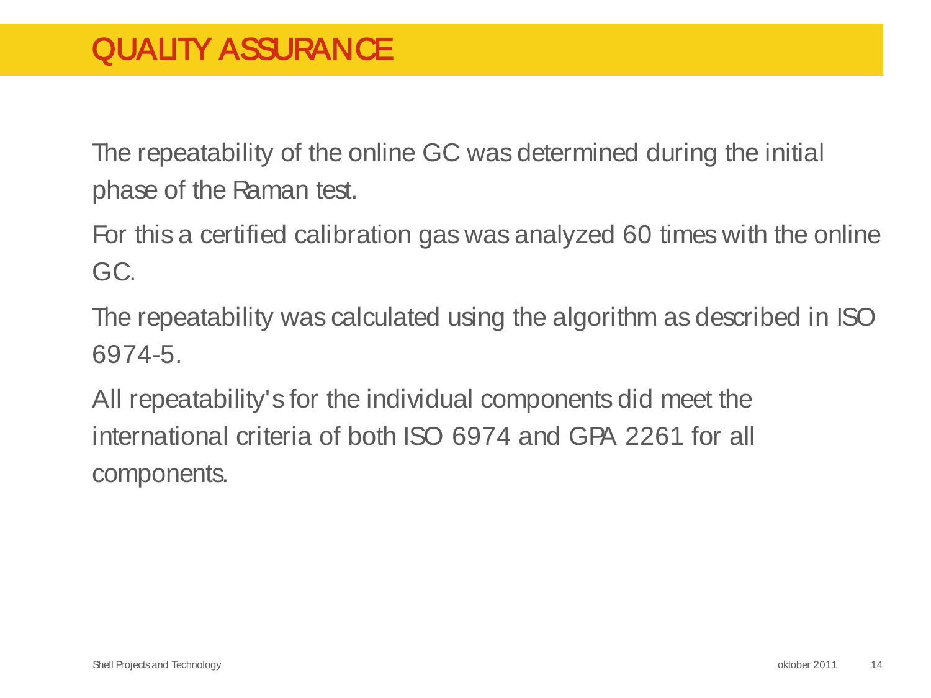The repeatability of the online GC was determined during the initial phase of the Raman test.

For this a certified calibration gas was analyzed 60 times with the online GC.

The repeatability was calculated using the algorithm as described in ISO 6974-5.

All repeatability's for the individual components did meet the international criteria of both ISO 6974 and GPA 2261 for all components.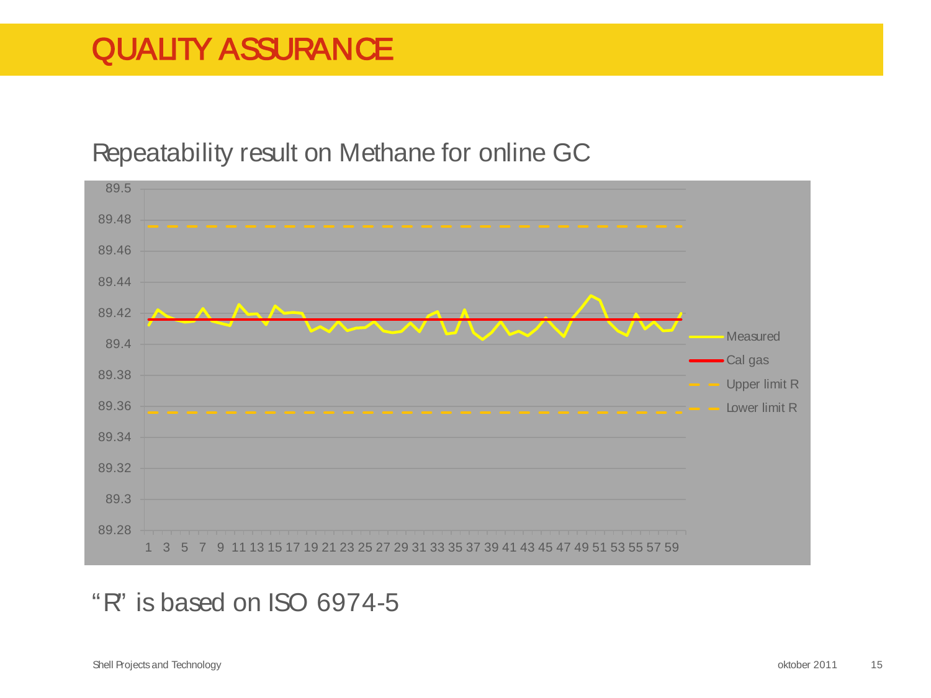# QUALITY ASSURANCE

#### Repeatability result on Methane for online GC



#### "R" is based on ISO 6974-5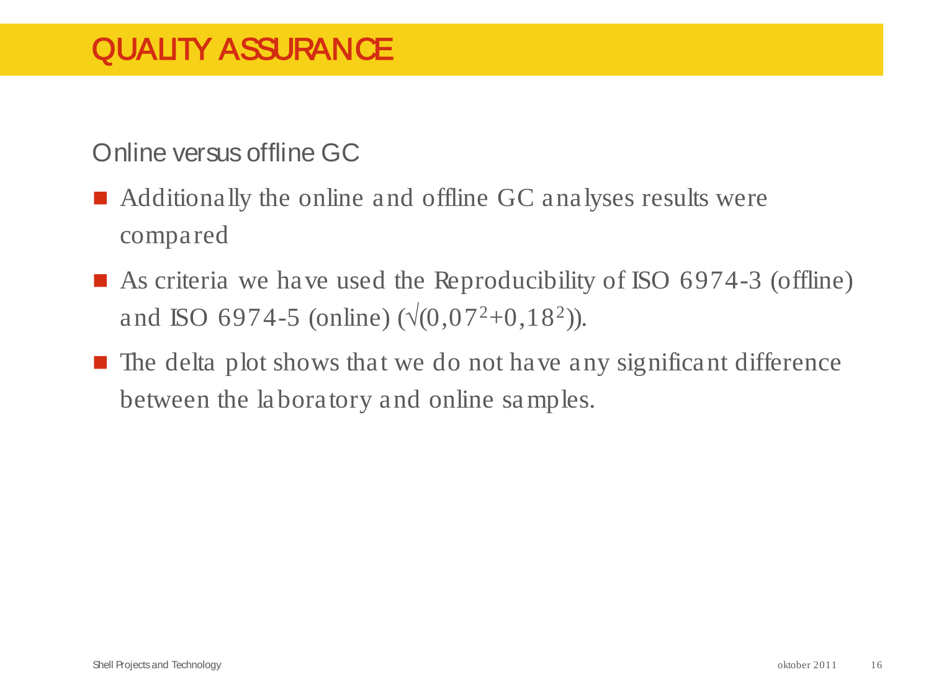# QUALITY ASSURANCE

Online versus offline GC

- Additionally the online and offline GC analyses results were compared
- As criteria we have used the Reproducibility of ISO 6974-3 (offline) and ISO 6974-5 (online)  $(\sqrt{(0.07^2+0.18^2)})$ .
- $\blacksquare$  The delta plot shows that we do not have any significant difference between the laboratory and online samples.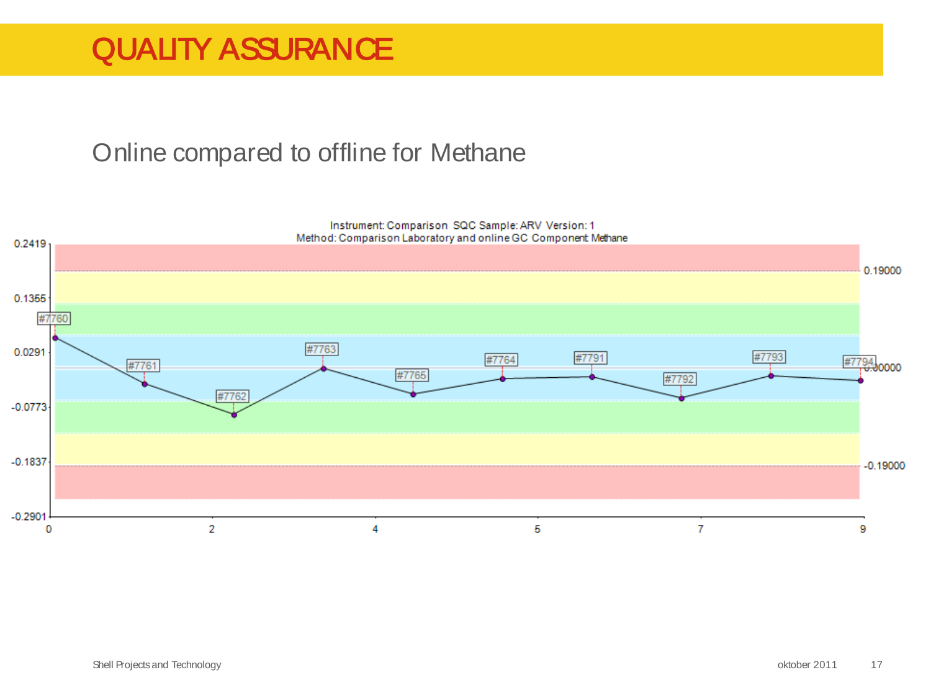# QUALITY ASSURANCE

#### Online compared to offline for Methane

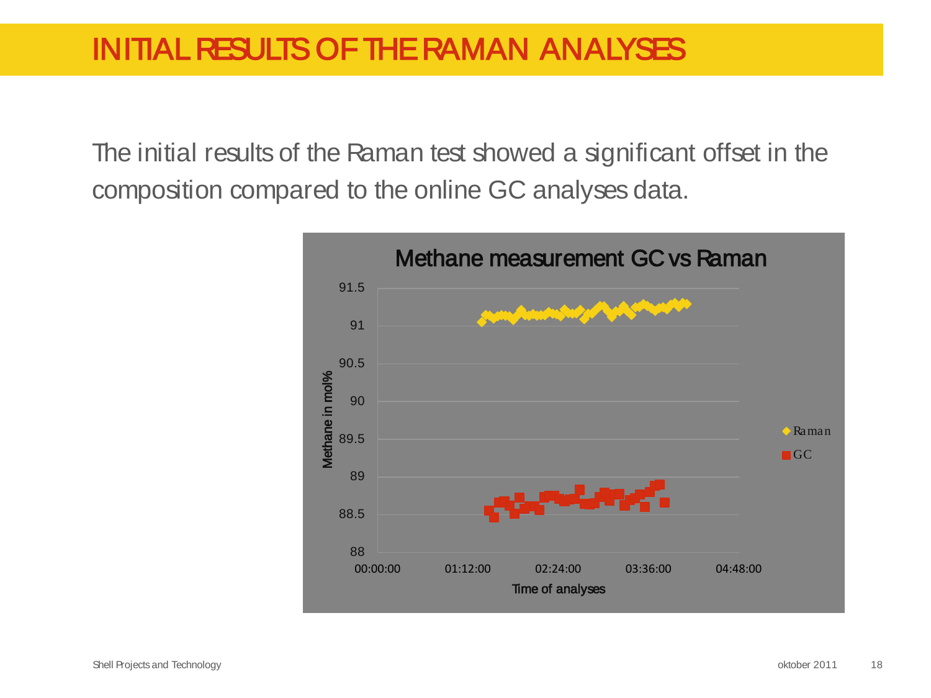The initial results of the Raman test showed a significant offset in the composition compared to the online GC analyses data.

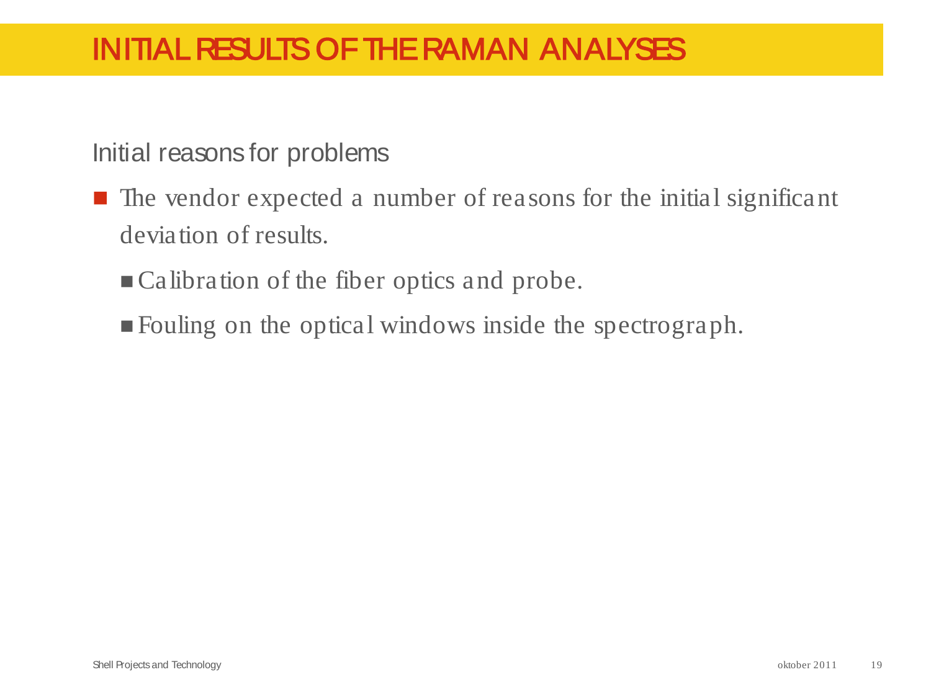# INITIAL RESULTS OF THE RAMAN ANALYSES

Initial reasons for problems

- $\blacksquare$  The vendor expected a number of reasons for the initial significant deviation of results.
	- Calibration of the fiber optics and probe.
	- Fouling on the optical windows inside the spectrograph.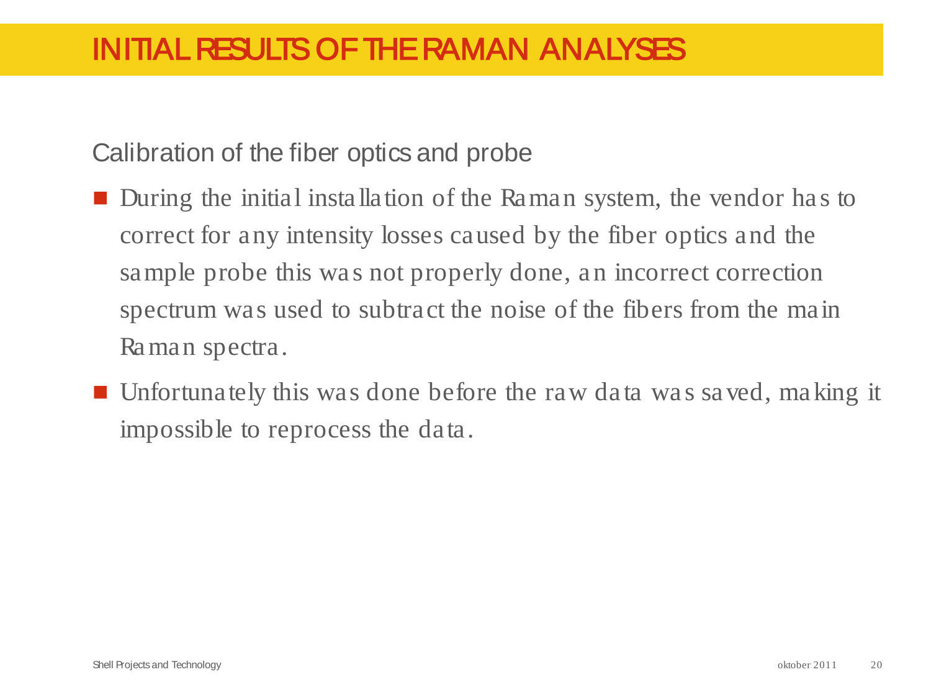Calibration of the fiber optics and probe

- During the initial installation of the Raman system, the vendor has to correct for any intensity losses caused by the fiber optics and the sample probe this was not properly done, an incorrect correction spectrum was used to subtract the noise of the fibers from the main Raman spectra.
- Unfortunately this was done before the raw data was saved, making it impossible to reprocess the data.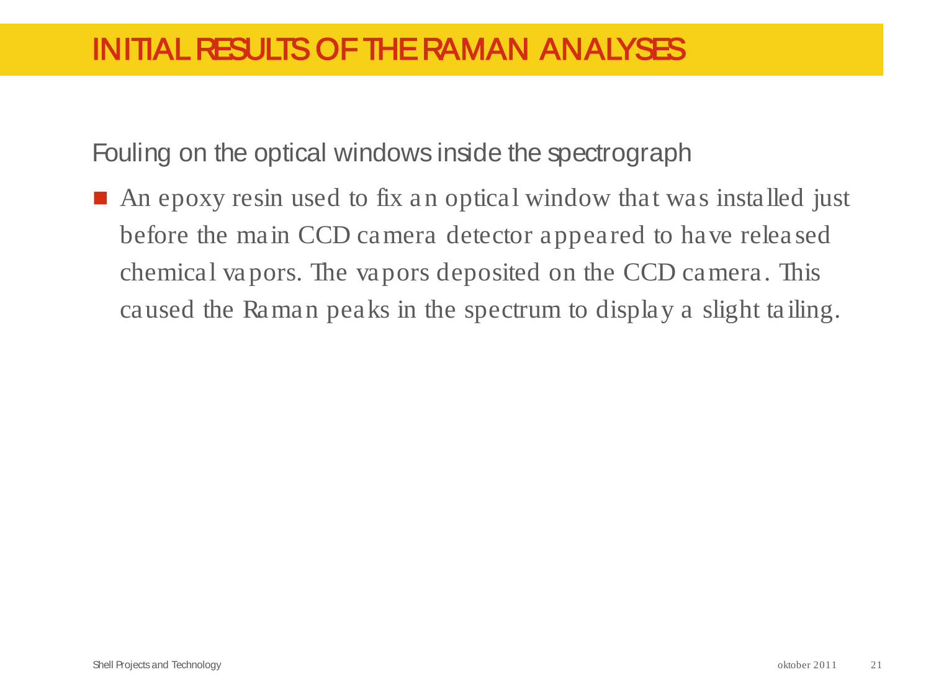## INITIAL RESULTS OF THE RAMAN ANALYSES

Fouling on the optical windows inside the spectrograph

■ An epoxy resin used to fix an optical window that was installed just before the main CCD camera detector appeared to have released chemical vapors. The vapors deposited on the CCD camera. This caused the Raman peaks in the spectrum to display a slight tailing.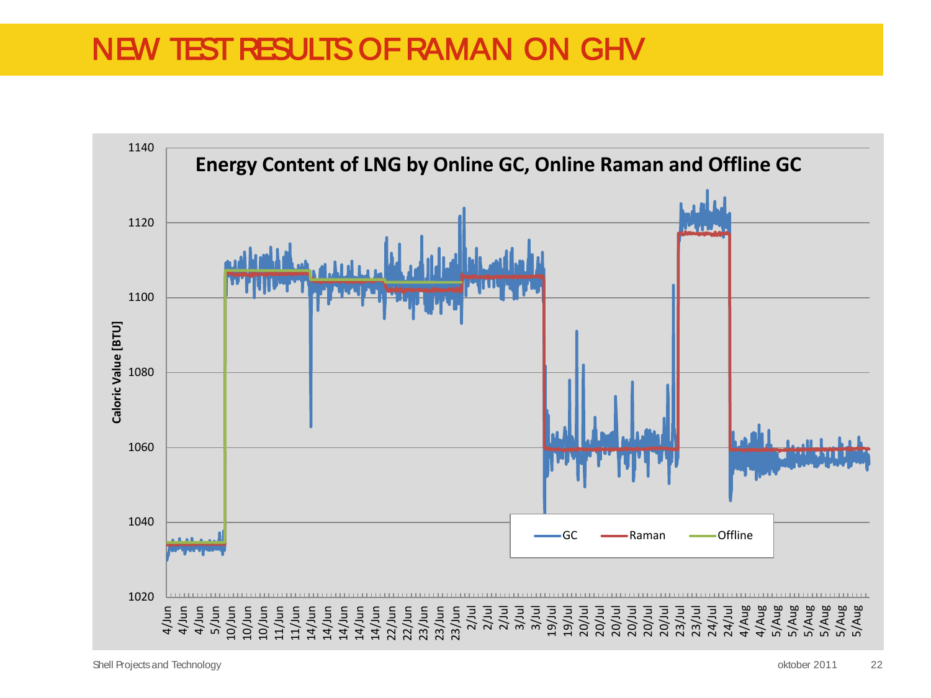# NEW TEST RESULTS OF RAMAN ON GHV

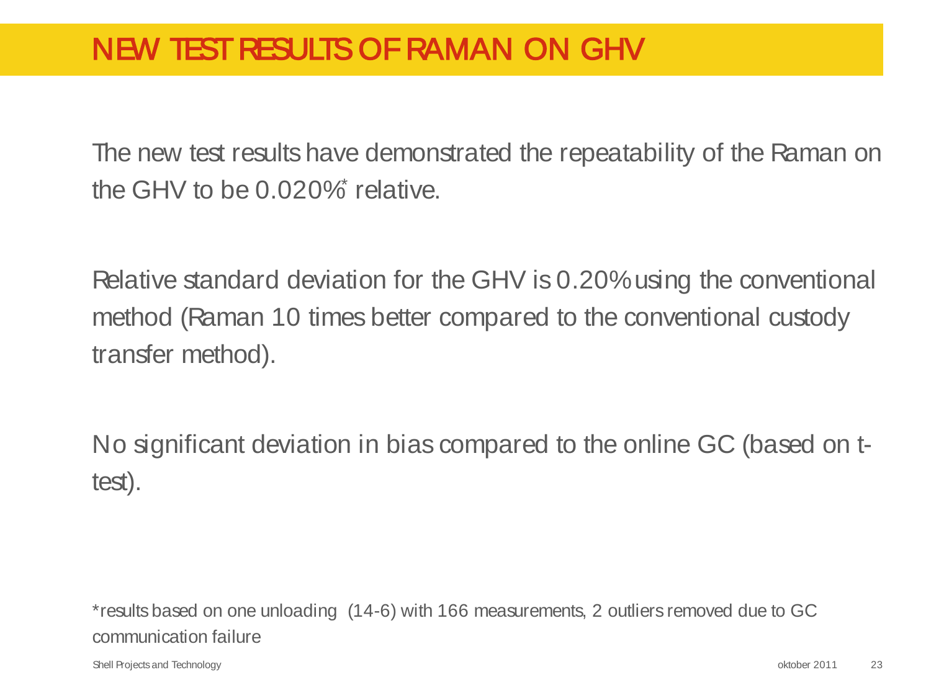# NEW TEST RESULTS OF RAMAN ON GHV

The new test results have demonstrated the repeatability of the Raman on the GHV to be  $0.020\%$  relative.

Relative standard deviation for the GHV is 0.20% using the conventional method (Raman 10 times better compared to the conventional custody transfer method).

No significant deviation in bias compared to the online GC (based on ttest).

\*results based on one unloading (14-6) with 166 measurements, 2 outliers removed due to GC communication failure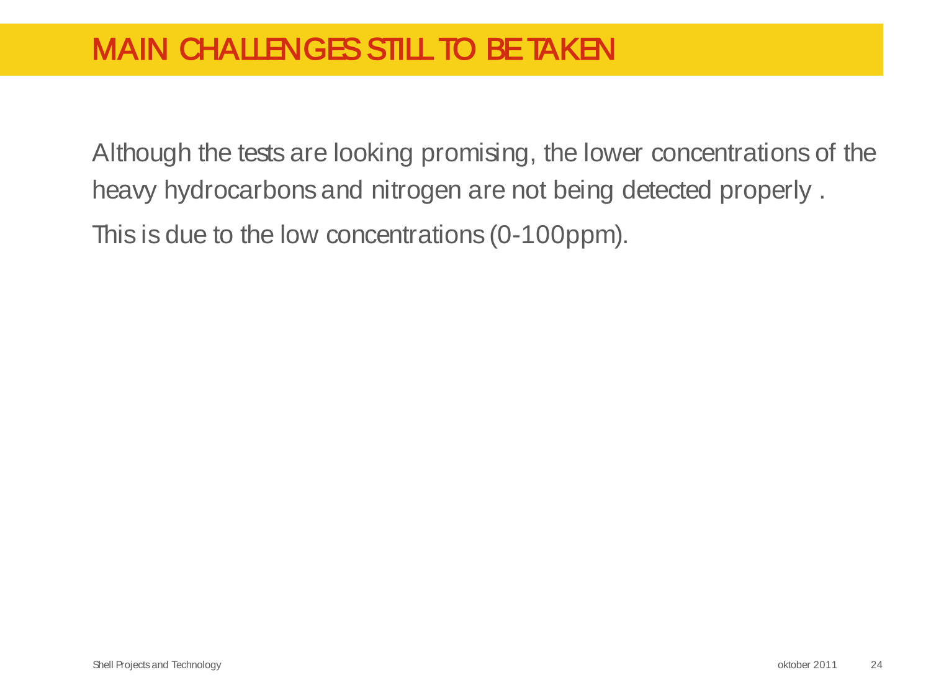Although the tests are looking promising, the lower concentrations of the heavy hydrocarbons and nitrogen are not being detected properly . This is due to the low concentrations (0-100ppm).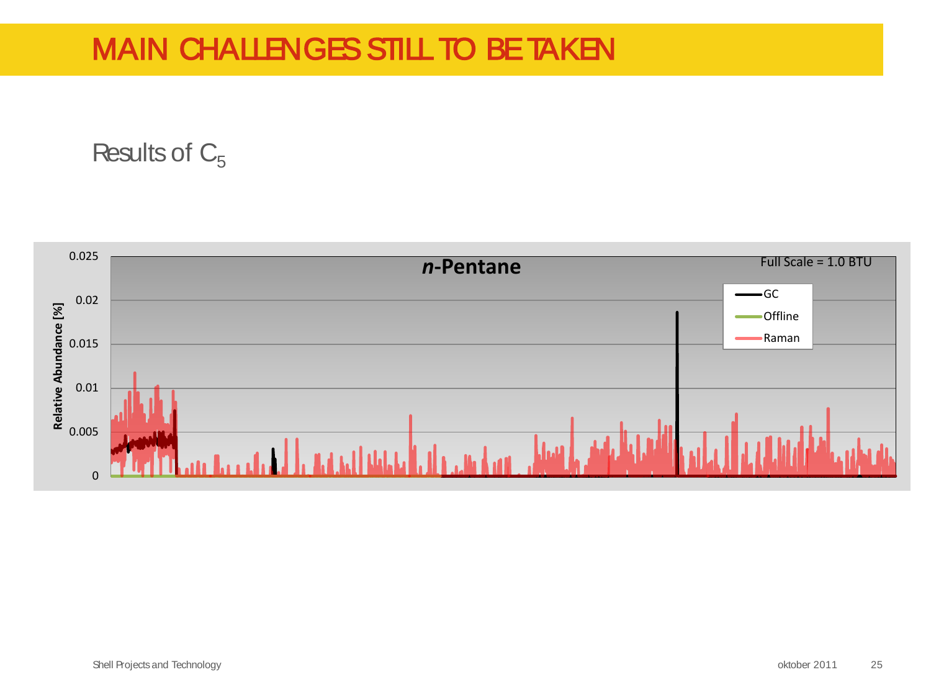Results of  $C_5$ 

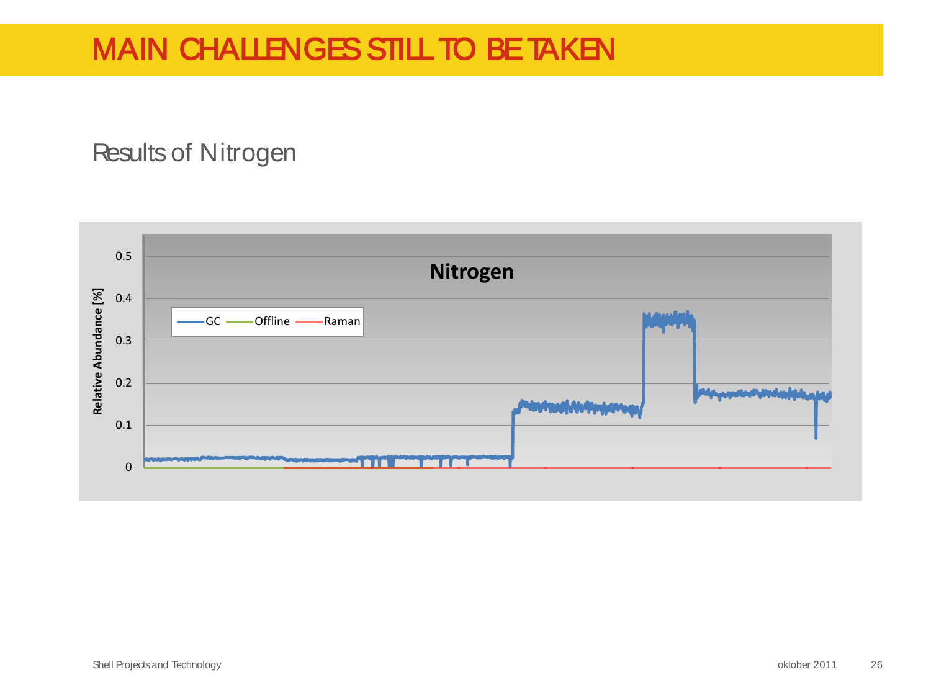#### Results of Nitrogen

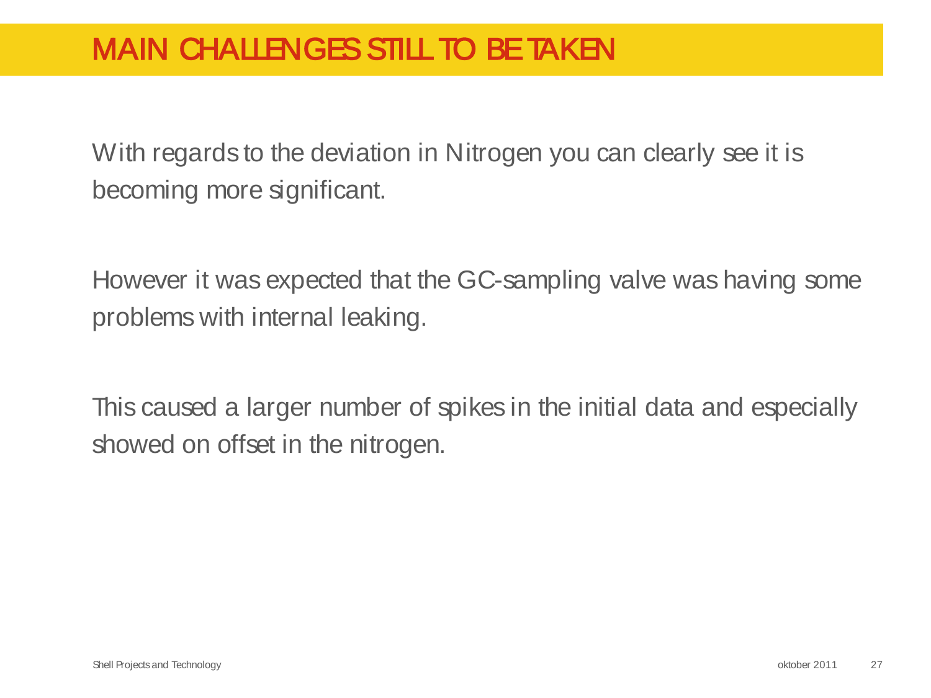With regards to the deviation in Nitrogen you can clearly see it is becoming more significant.

However it was expected that the GC-sampling valve was having some problems with internal leaking.

This caused a larger number of spikes in the initial data and especially showed on offset in the nitrogen.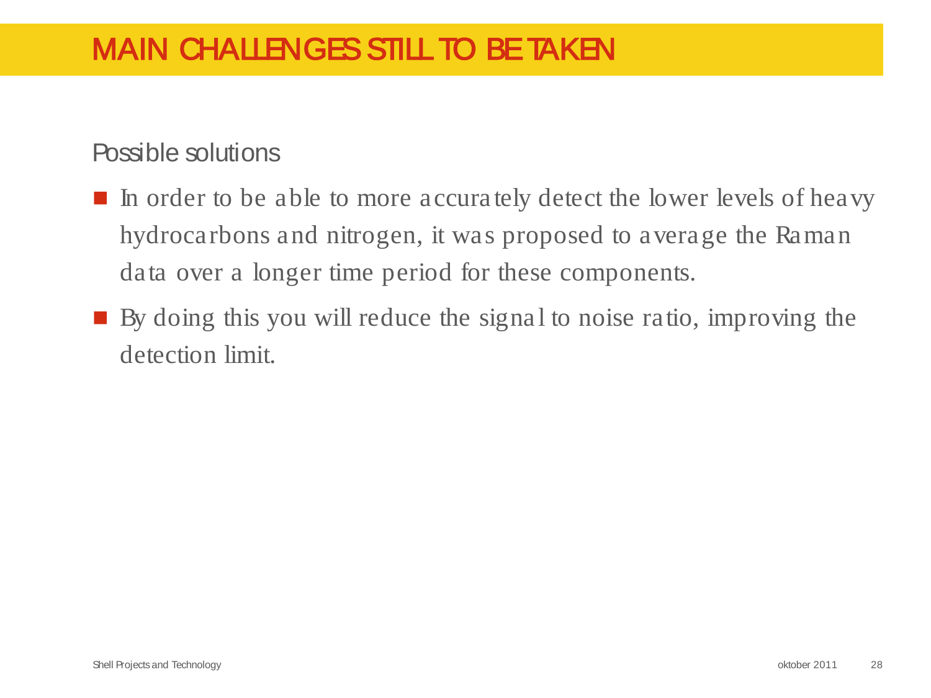#### Possible solutions

- In order to be able to more accurately detect the lower levels of heavy hydrocarbons and nitrogen, it was proposed to average the Raman data over a longer time period for these components.
- By doing this you will reduce the signal to noise ratio, improving the detection limit.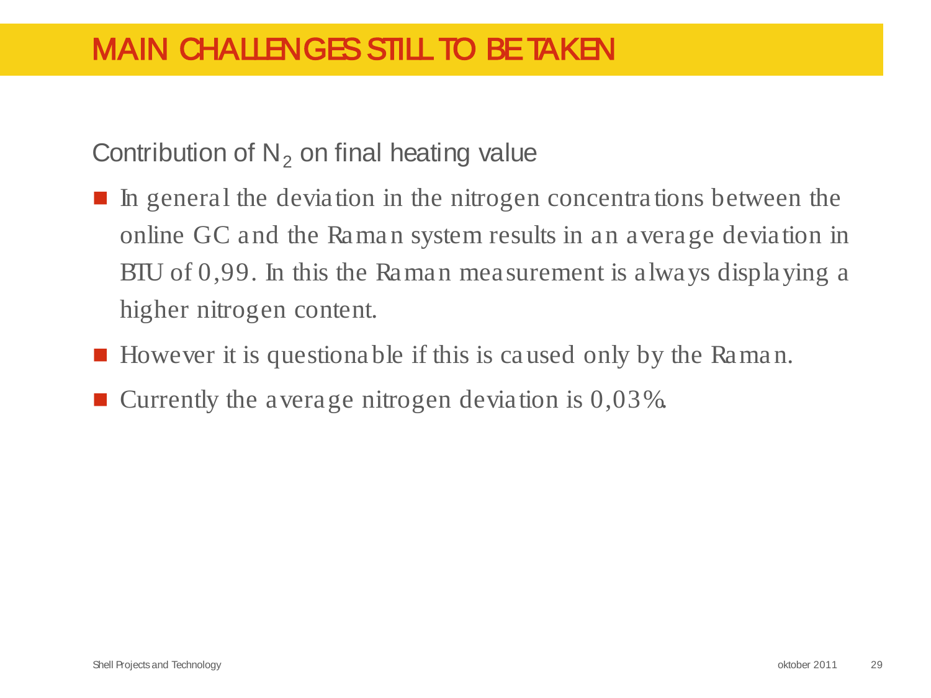Contribution of  $N<sub>2</sub>$  on final heating value

- $\blacksquare$  In general the deviation in the nitrogen concentrations between the online GC and the Raman system results in an average deviation in BTU of 0,99. In this the Raman measurement is always displaying a higher nitrogen content.
- However it is questionable if this is caused only by the Raman.
- **E** Currently the average nitrogen deviation is  $0.03\%$ .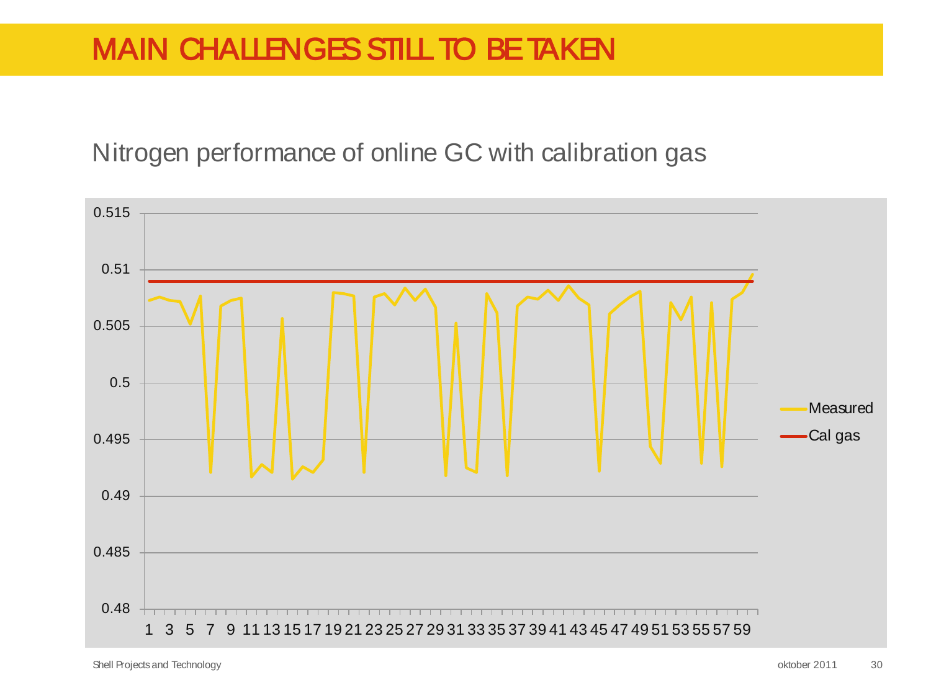Nitrogen performance of online GC with calibration gas



Shell Projects and Technology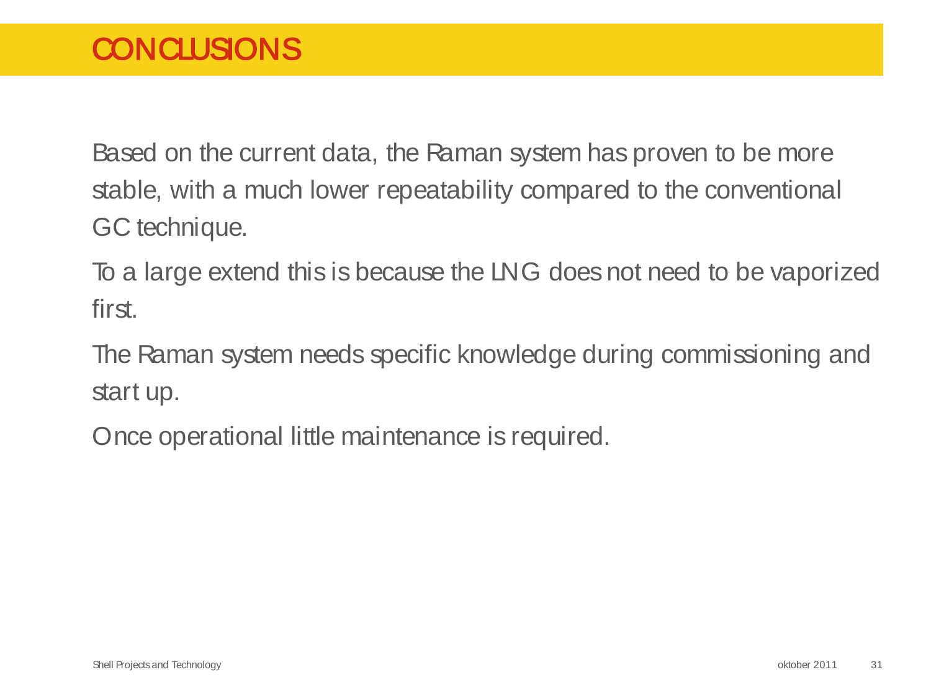Based on the current data, the Raman system has proven to be more stable, with a much lower repeatability compared to the conventional GC technique.

To a large extend this is because the LNG does not need to be vaporized first.

The Raman system needs specific knowledge during commissioning and start up.

Once operational little maintenance is required.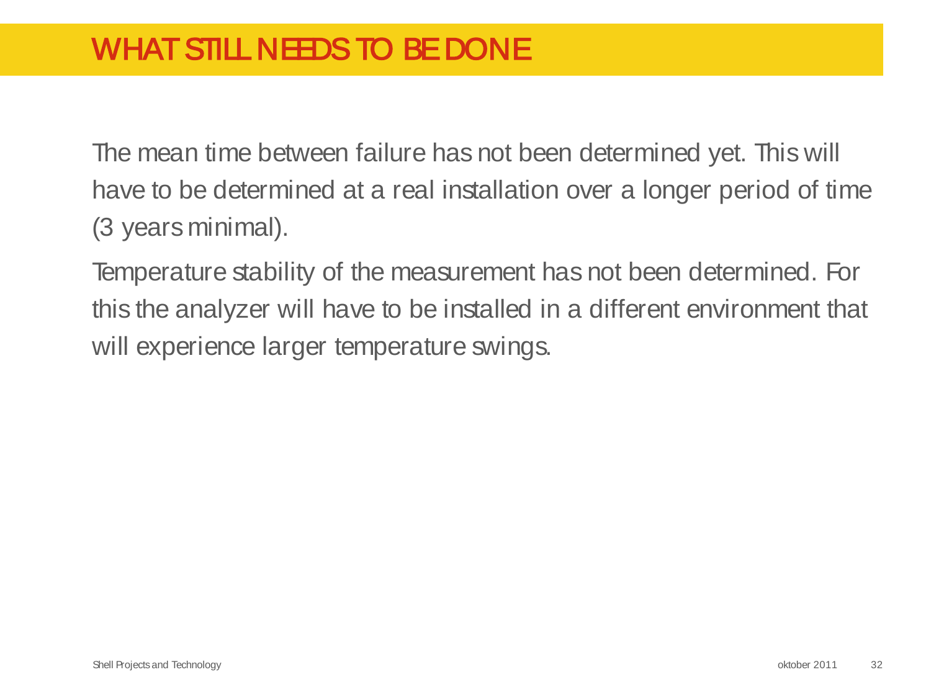# WHAT STILL NEEDS TO BE DONE

The mean time between failure has not been determined yet. This will have to be determined at a real installation over a longer period of time (3 years minimal).

Temperature stability of the measurement has not been determined. For this the analyzer will have to be installed in a different environment that will experience larger temperature swings.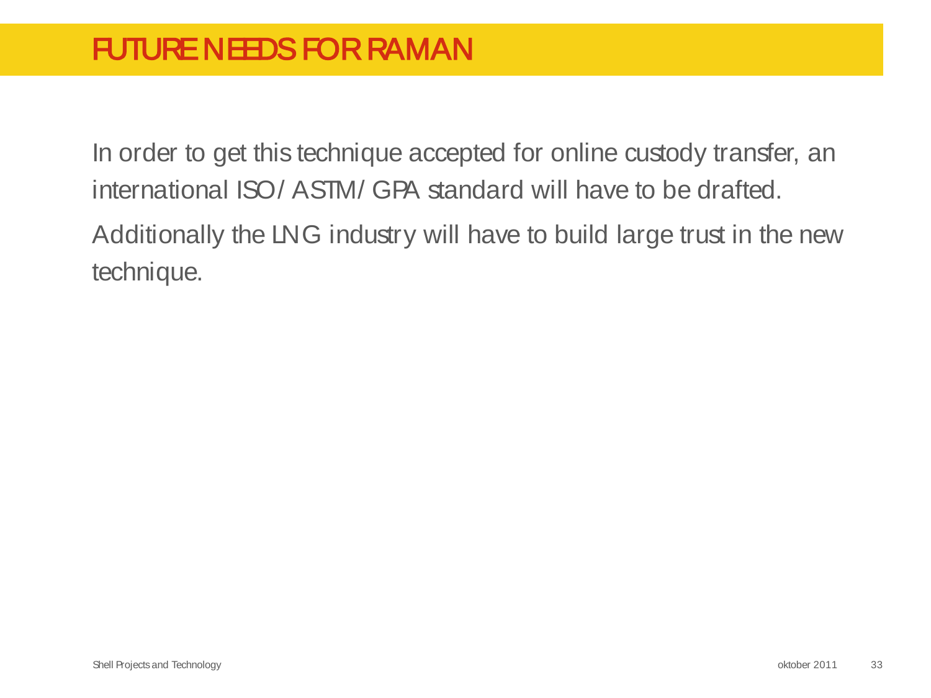In order to get this technique accepted for online custody transfer, an international ISO/ ASTM/ GPA standard will have to be drafted. Additionally the LNG industry will have to build large trust in the new technique.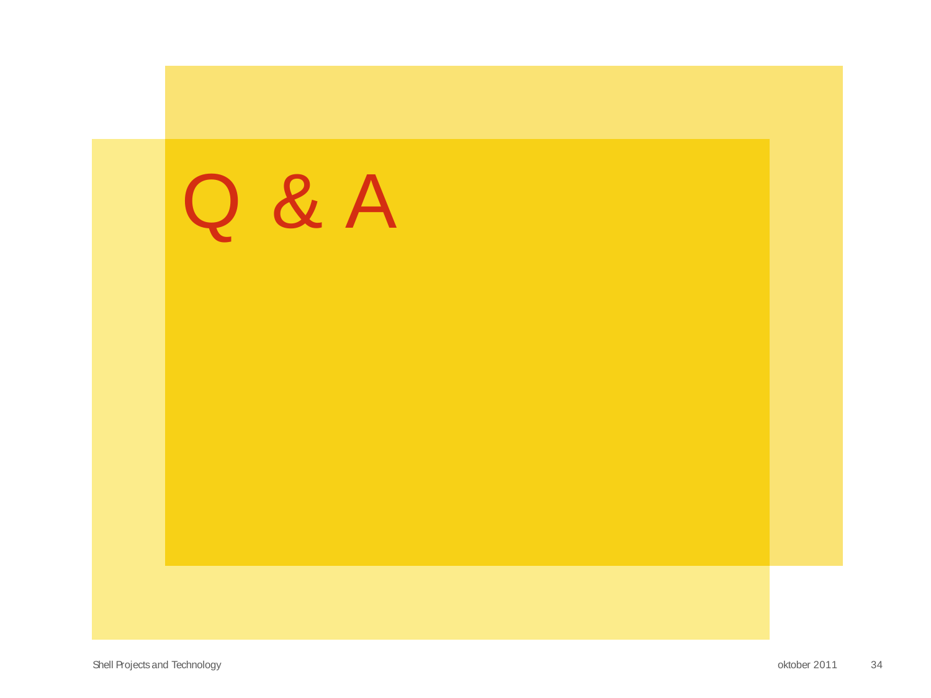